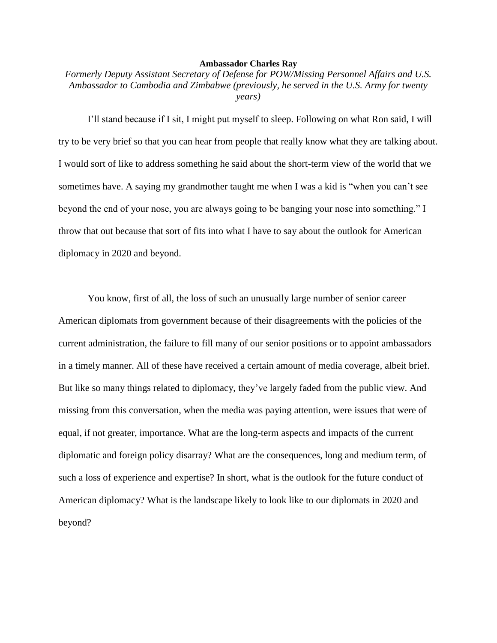## **Ambassador Charles Ray**

*Formerly Deputy Assistant Secretary of Defense for POW/Missing Personnel Affairs and U.S. Ambassador to Cambodia and Zimbabwe (previously, he served in the U.S. Army for twenty years)*

I'll stand because if I sit, I might put myself to sleep. Following on what Ron said, I will try to be very brief so that you can hear from people that really know what they are talking about. I would sort of like to address something he said about the short-term view of the world that we sometimes have. A saying my grandmother taught me when I was a kid is "when you can't see beyond the end of your nose, you are always going to be banging your nose into something." I throw that out because that sort of fits into what I have to say about the outlook for American diplomacy in 2020 and beyond.

You know, first of all, the loss of such an unusually large number of senior career American diplomats from government because of their disagreements with the policies of the current administration, the failure to fill many of our senior positions or to appoint ambassadors in a timely manner. All of these have received a certain amount of media coverage, albeit brief. But like so many things related to diplomacy, they've largely faded from the public view. And missing from this conversation, when the media was paying attention, were issues that were of equal, if not greater, importance. What are the long-term aspects and impacts of the current diplomatic and foreign policy disarray? What are the consequences, long and medium term, of such a loss of experience and expertise? In short, what is the outlook for the future conduct of American diplomacy? What is the landscape likely to look like to our diplomats in 2020 and beyond?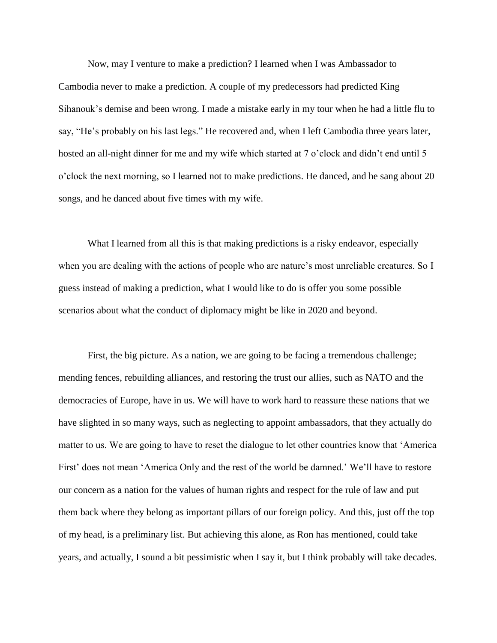Now, may I venture to make a prediction? I learned when I was Ambassador to Cambodia never to make a prediction. A couple of my predecessors had predicted King Sihanouk's demise and been wrong. I made a mistake early in my tour when he had a little flu to say, "He's probably on his last legs." He recovered and, when I left Cambodia three years later, hosted an all-night dinner for me and my wife which started at 7 o'clock and didn't end until 5 o'clock the next morning, so I learned not to make predictions. He danced, and he sang about 20 songs, and he danced about five times with my wife.

What I learned from all this is that making predictions is a risky endeavor, especially when you are dealing with the actions of people who are nature's most unreliable creatures. So I guess instead of making a prediction, what I would like to do is offer you some possible scenarios about what the conduct of diplomacy might be like in 2020 and beyond.

First, the big picture. As a nation, we are going to be facing a tremendous challenge; mending fences, rebuilding alliances, and restoring the trust our allies, such as NATO and the democracies of Europe, have in us. We will have to work hard to reassure these nations that we have slighted in so many ways, such as neglecting to appoint ambassadors, that they actually do matter to us. We are going to have to reset the dialogue to let other countries know that 'America First' does not mean 'America Only and the rest of the world be damned.' We'll have to restore our concern as a nation for the values of human rights and respect for the rule of law and put them back where they belong as important pillars of our foreign policy. And this, just off the top of my head, is a preliminary list. But achieving this alone, as Ron has mentioned, could take years, and actually, I sound a bit pessimistic when I say it, but I think probably will take decades.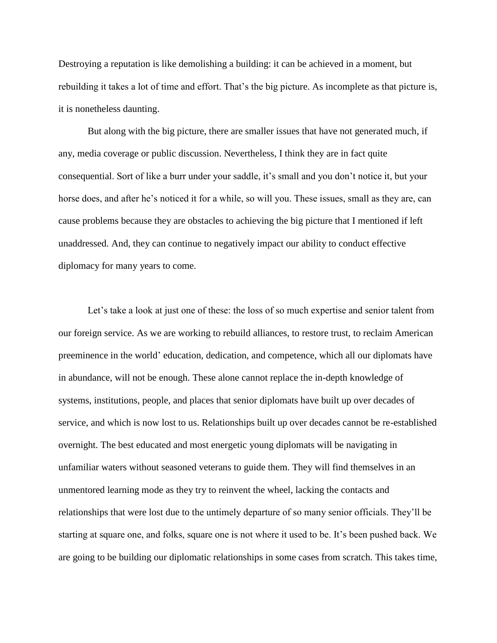Destroying a reputation is like demolishing a building: it can be achieved in a moment, but rebuilding it takes a lot of time and effort. That's the big picture. As incomplete as that picture is, it is nonetheless daunting.

But along with the big picture, there are smaller issues that have not generated much, if any, media coverage or public discussion. Nevertheless, I think they are in fact quite consequential. Sort of like a burr under your saddle, it's small and you don't notice it, but your horse does, and after he's noticed it for a while, so will you. These issues, small as they are, can cause problems because they are obstacles to achieving the big picture that I mentioned if left unaddressed. And, they can continue to negatively impact our ability to conduct effective diplomacy for many years to come.

Let's take a look at just one of these: the loss of so much expertise and senior talent from our foreign service. As we are working to rebuild alliances, to restore trust, to reclaim American preeminence in the world' education, dedication, and competence, which all our diplomats have in abundance, will not be enough. These alone cannot replace the in-depth knowledge of systems, institutions, people, and places that senior diplomats have built up over decades of service, and which is now lost to us. Relationships built up over decades cannot be re-established overnight. The best educated and most energetic young diplomats will be navigating in unfamiliar waters without seasoned veterans to guide them. They will find themselves in an unmentored learning mode as they try to reinvent the wheel, lacking the contacts and relationships that were lost due to the untimely departure of so many senior officials. They'll be starting at square one, and folks, square one is not where it used to be. It's been pushed back. We are going to be building our diplomatic relationships in some cases from scratch. This takes time,